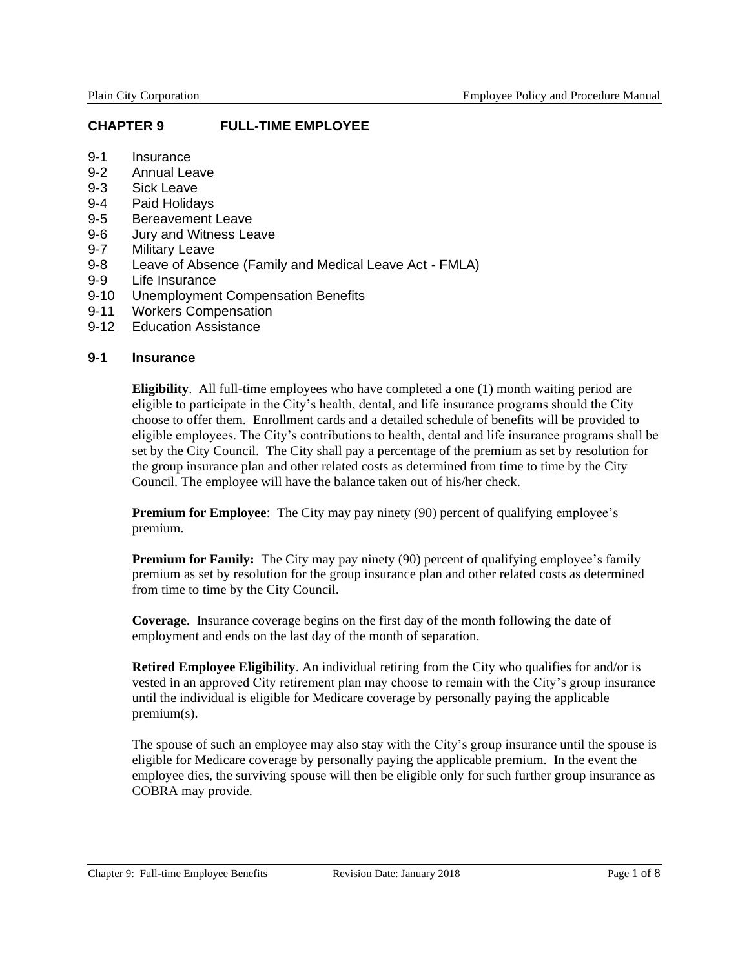### **CHAPTER 9 FULL-TIME EMPLOYEE**

- 9-1 Insurance
- 9-2 Annual Leave
- 9-3 Sick Leave
- 9-4 Paid Holidays
- 9-5 Bereavement Leave
- 9-6 Jury and Witness Leave
- 9-7 Military Leave<br>9-8 Leave of Abse
- Leave of Absence (Family and Medical Leave Act FMLA)
- 9-9 Life Insurance
- 9-10 Unemployment Compensation Benefits
- 9-11 Workers Compensation
- 9-12 Education Assistance

### **9-1 Insurance**

**Eligibility**. All full-time employees who have completed a one (1) month waiting period are eligible to participate in the City's health, dental, and life insurance programs should the City choose to offer them. Enrollment cards and a detailed schedule of benefits will be provided to eligible employees. The City's contributions to health, dental and life insurance programs shall be set by the City Council. The City shall pay a percentage of the premium as set by resolution for the group insurance plan and other related costs as determined from time to time by the City Council. The employee will have the balance taken out of his/her check.

**Premium for Employee**: The City may pay ninety (90) percent of qualifying employee's premium.

**Premium for Family:** The City may pay ninety (90) percent of qualifying employee's family premium as set by resolution for the group insurance plan and other related costs as determined from time to time by the City Council.

**Coverage**. Insurance coverage begins on the first day of the month following the date of employment and ends on the last day of the month of separation.

**Retired Employee Eligibility**. An individual retiring from the City who qualifies for and/or is vested in an approved City retirement plan may choose to remain with the City's group insurance until the individual is eligible for Medicare coverage by personally paying the applicable premium(s).

The spouse of such an employee may also stay with the City's group insurance until the spouse is eligible for Medicare coverage by personally paying the applicable premium. In the event the employee dies, the surviving spouse will then be eligible only for such further group insurance as COBRA may provide.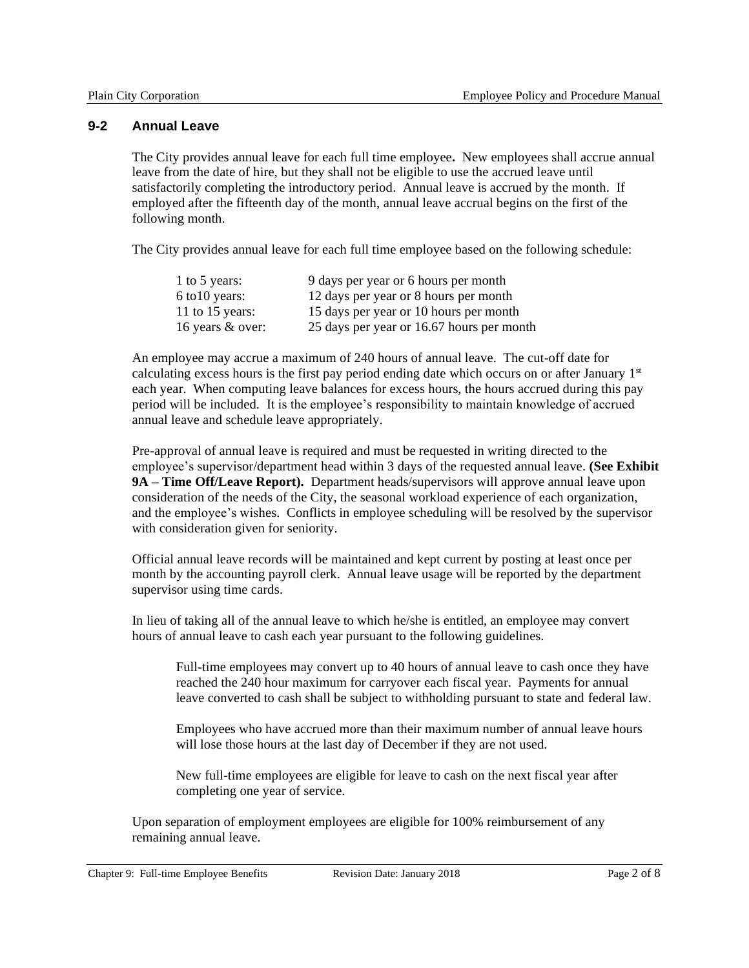### **9-2 Annual Leave**

The City provides annual leave for each full time employee**.** New employees shall accrue annual leave from the date of hire, but they shall not be eligible to use the accrued leave until satisfactorily completing the introductory period. Annual leave is accrued by the month. If employed after the fifteenth day of the month, annual leave accrual begins on the first of the following month.

The City provides annual leave for each full time employee based on the following schedule:

| 1 to 5 years:    | 9 days per year or 6 hours per month      |
|------------------|-------------------------------------------|
| $6$ to 10 years: | 12 days per year or 8 hours per month     |
| 11 to 15 years:  | 15 days per year or 10 hours per month    |
| 16 years & over: | 25 days per year or 16.67 hours per month |

An employee may accrue a maximum of 240 hours of annual leave. The cut-off date for calculating excess hours is the first pay period ending date which occurs on or after January 1st each year. When computing leave balances for excess hours, the hours accrued during this pay period will be included. It is the employee's responsibility to maintain knowledge of accrued annual leave and schedule leave appropriately.

Pre-approval of annual leave is required and must be requested in writing directed to the employee's supervisor/department head within 3 days of the requested annual leave. **(See Exhibit 9A – Time Off/Leave Report).** Department heads/supervisors will approve annual leave upon consideration of the needs of the City, the seasonal workload experience of each organization, and the employee's wishes. Conflicts in employee scheduling will be resolved by the supervisor with consideration given for seniority.

Official annual leave records will be maintained and kept current by posting at least once per month by the accounting payroll clerk. Annual leave usage will be reported by the department supervisor using time cards.

In lieu of taking all of the annual leave to which he/she is entitled, an employee may convert hours of annual leave to cash each year pursuant to the following guidelines.

Full-time employees may convert up to 40 hours of annual leave to cash once they have reached the 240 hour maximum for carryover each fiscal year. Payments for annual leave converted to cash shall be subject to withholding pursuant to state and federal law.

Employees who have accrued more than their maximum number of annual leave hours will lose those hours at the last day of December if they are not used.

New full-time employees are eligible for leave to cash on the next fiscal year after completing one year of service.

Upon separation of employment employees are eligible for 100% reimbursement of any remaining annual leave.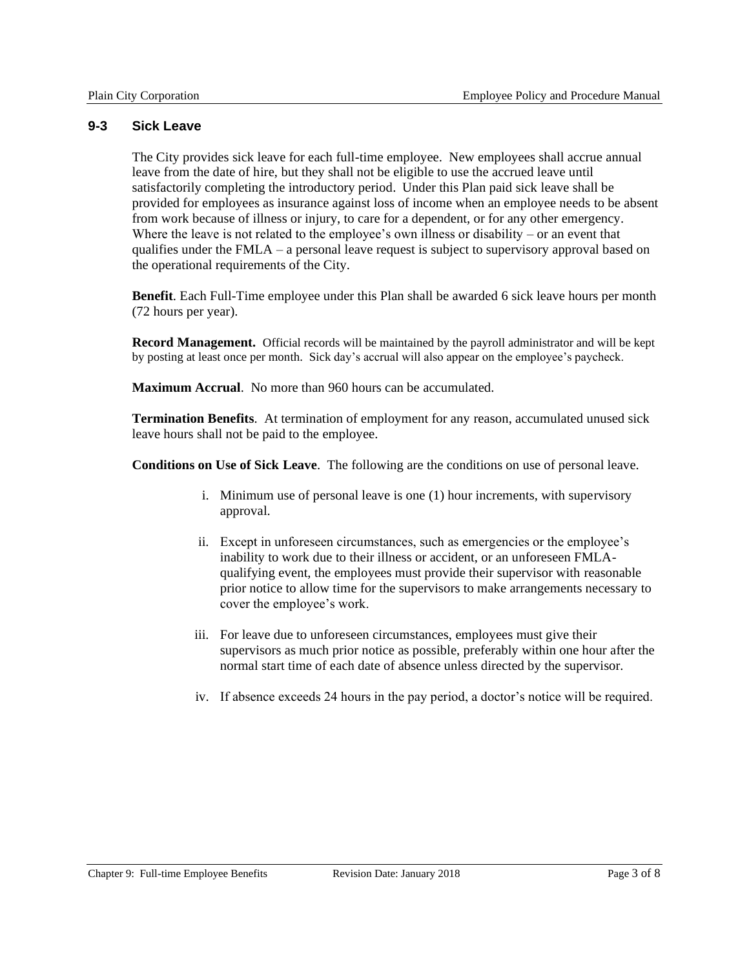### **9-3 Sick Leave**

The City provides sick leave for each full-time employee. New employees shall accrue annual leave from the date of hire, but they shall not be eligible to use the accrued leave until satisfactorily completing the introductory period. Under this Plan paid sick leave shall be provided for employees as insurance against loss of income when an employee needs to be absent from work because of illness or injury, to care for a dependent, or for any other emergency. Where the leave is not related to the employee's own illness or disability – or an event that qualifies under the FMLA – a personal leave request is subject to supervisory approval based on the operational requirements of the City.

**Benefit**. Each Full-Time employee under this Plan shall be awarded 6 sick leave hours per month (72 hours per year).

**Record Management.** Official records will be maintained by the payroll administrator and will be kept by posting at least once per month. Sick day's accrual will also appear on the employee's paycheck.

**Maximum Accrual**. No more than 960 hours can be accumulated.

**Termination Benefits**. At termination of employment for any reason, accumulated unused sick leave hours shall not be paid to the employee.

**Conditions on Use of Sick Leave**. The following are the conditions on use of personal leave.

- i. Minimum use of personal leave is one (1) hour increments, with supervisory approval.
- ii. Except in unforeseen circumstances, such as emergencies or the employee's inability to work due to their illness or accident, or an unforeseen FMLAqualifying event, the employees must provide their supervisor with reasonable prior notice to allow time for the supervisors to make arrangements necessary to cover the employee's work.
- iii. For leave due to unforeseen circumstances, employees must give their supervisors as much prior notice as possible, preferably within one hour after the normal start time of each date of absence unless directed by the supervisor.
- iv. If absence exceeds 24 hours in the pay period, a doctor's notice will be required.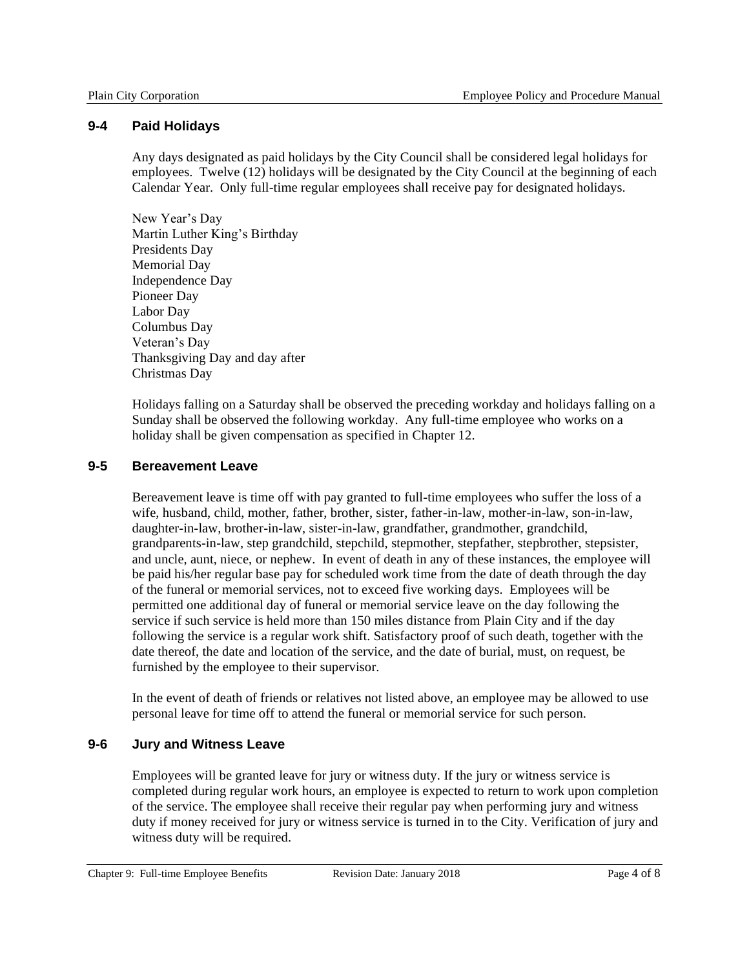### **9-4 Paid Holidays**

Any days designated as paid holidays by the City Council shall be considered legal holidays for employees. Twelve (12) holidays will be designated by the City Council at the beginning of each Calendar Year. Only full-time regular employees shall receive pay for designated holidays.

New Year's Day Martin Luther King's Birthday Presidents Day Memorial Day Independence Day Pioneer Day Labor Day Columbus Day Veteran's Day Thanksgiving Day and day after Christmas Day

Holidays falling on a Saturday shall be observed the preceding workday and holidays falling on a Sunday shall be observed the following workday. Any full*-*time employee who works on a holiday shall be given compensation as specified in Chapter 12.

# **9-5 Bereavement Leave**

Bereavement leave is time off with pay granted to full-time employees who suffer the loss of a wife, husband, child, mother, father, brother, sister, father-in-law, mother-in-law, son-in-law, daughter-in-law, brother-in-law, sister-in-law, grandfather, grandmother, grandchild, grandparents-in-law, step grandchild, stepchild, stepmother, stepfather, stepbrother, stepsister, and uncle, aunt, niece, or nephew. In event of death in any of these instances, the employee will be paid his/her regular base pay for scheduled work time from the date of death through the day of the funeral or memorial services, not to exceed five working days. Employees will be permitted one additional day of funeral or memorial service leave on the day following the service if such service is held more than 150 miles distance from Plain City and if the day following the service is a regular work shift. Satisfactory proof of such death, together with the date thereof, the date and location of the service, and the date of burial, must, on request, be furnished by the employee to their supervisor.

In the event of death of friends or relatives not listed above, an employee may be allowed to use personal leave for time off to attend the funeral or memorial service for such person.

# **9-6 Jury and Witness Leave**

Employees will be granted leave for jury or witness duty. If the jury or witness service is completed during regular work hours, an employee is expected to return to work upon completion of the service. The employee shall receive their regular pay when performing jury and witness duty if money received for jury or witness service is turned in to the City. Verification of jury and witness duty will be required.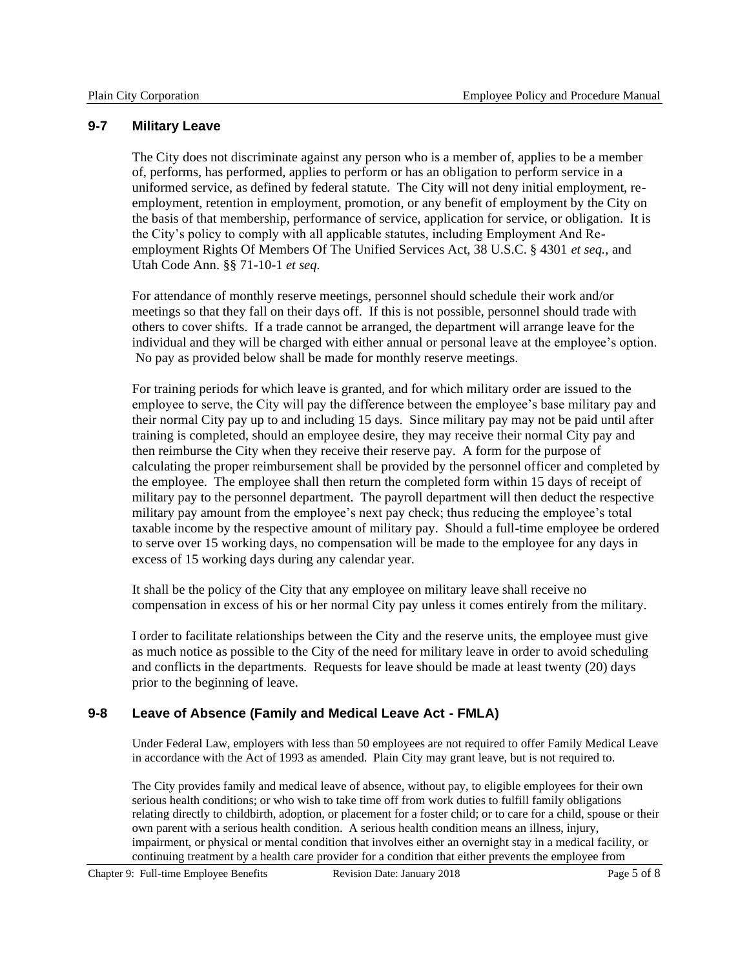### **9-7 Military Leave**

The City does not discriminate against any person who is a member of, applies to be a member of, performs, has performed, applies to perform or has an obligation to perform service in a uniformed service, as defined by federal statute. The City will not deny initial employment, reemployment, retention in employment, promotion, or any benefit of employment by the City on the basis of that membership, performance of service, application for service, or obligation. It is the City's policy to comply with all applicable statutes, including Employment And Reemployment Rights Of Members Of The Unified Services Act, 38 U.S.C. § 4301 *et seq.*, and Utah Code Ann. §§ 71-10-1 *et seq.*

For attendance of monthly reserve meetings, personnel should schedule their work and/or meetings so that they fall on their days off. If this is not possible, personnel should trade with others to cover shifts. If a trade cannot be arranged, the department will arrange leave for the individual and they will be charged with either annual or personal leave at the employee's option. No pay as provided below shall be made for monthly reserve meetings.

For training periods for which leave is granted, and for which military order are issued to the employee to serve, the City will pay the difference between the employee's base military pay and their normal City pay up to and including 15 days. Since military pay may not be paid until after training is completed, should an employee desire, they may receive their normal City pay and then reimburse the City when they receive their reserve pay. A form for the purpose of calculating the proper reimbursement shall be provided by the personnel officer and completed by the employee. The employee shall then return the completed form within 15 days of receipt of military pay to the personnel department. The payroll department will then deduct the respective military pay amount from the employee's next pay check; thus reducing the employee's total taxable income by the respective amount of military pay. Should a full-time employee be ordered to serve over 15 working days, no compensation will be made to the employee for any days in excess of 15 working days during any calendar year.

It shall be the policy of the City that any employee on military leave shall receive no compensation in excess of his or her normal City pay unless it comes entirely from the military.

I order to facilitate relationships between the City and the reserve units, the employee must give as much notice as possible to the City of the need for military leave in order to avoid scheduling and conflicts in the departments. Requests for leave should be made at least twenty (20) days prior to the beginning of leave.

# **9-8 Leave of Absence (Family and Medical Leave Act - FMLA)**

Under Federal Law, employers with less than 50 employees are not required to offer Family Medical Leave in accordance with the Act of 1993 as amended. Plain City may grant leave, but is not required to.

The City provides family and medical leave of absence, without pay, to eligible employees for their own serious health conditions; or who wish to take time off from work duties to fulfill family obligations relating directly to childbirth, adoption, or placement for a foster child; or to care for a child, spouse or their own parent with a serious health condition. A serious health condition means an illness, injury, impairment, or physical or mental condition that involves either an overnight stay in a medical facility, or continuing treatment by a health care provider for a condition that either prevents the employee from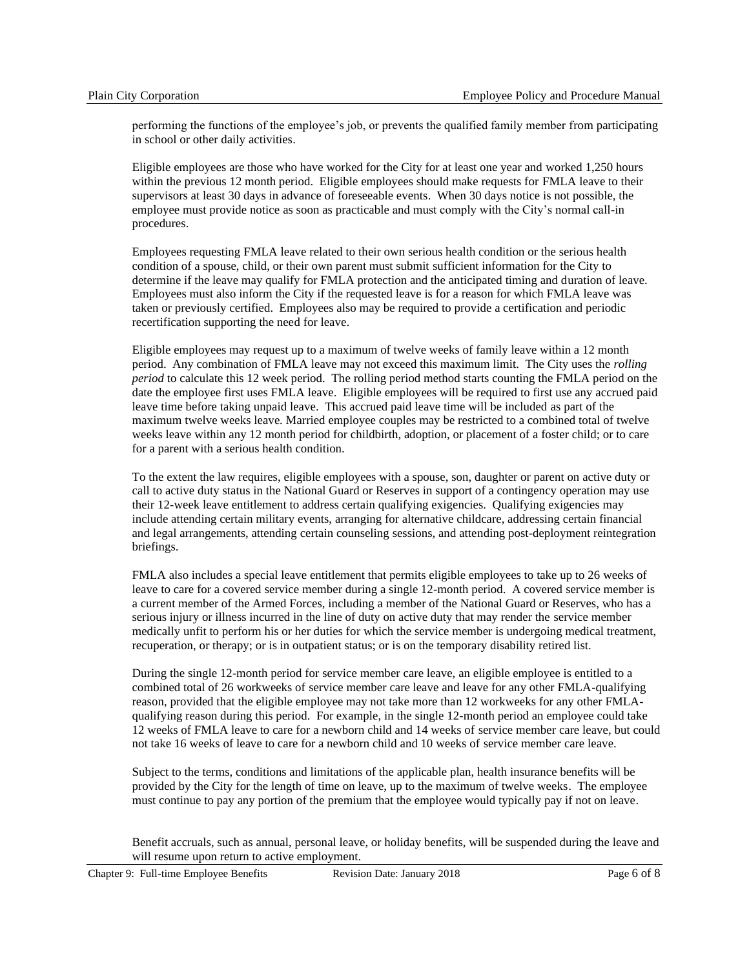performing the functions of the employee's job, or prevents the qualified family member from participating in school or other daily activities.

Eligible employees are those who have worked for the City for at least one year and worked 1,250 hours within the previous 12 month period. Eligible employees should make requests for FMLA leave to their supervisors at least 30 days in advance of foreseeable events. When 30 days notice is not possible, the employee must provide notice as soon as practicable and must comply with the City's normal call-in procedures.

Employees requesting FMLA leave related to their own serious health condition or the serious health condition of a spouse, child, or their own parent must submit sufficient information for the City to determine if the leave may qualify for FMLA protection and the anticipated timing and duration of leave. Employees must also inform the City if the requested leave is for a reason for which FMLA leave was taken or previously certified. Employees also may be required to provide a certification and periodic recertification supporting the need for leave.

Eligible employees may request up to a maximum of twelve weeks of family leave within a 12 month period. Any combination of FMLA leave may not exceed this maximum limit. The City uses the *rolling period* to calculate this 12 week period. The rolling period method starts counting the FMLA period on the date the employee first uses FMLA leave. Eligible employees will be required to first use any accrued paid leave time before taking unpaid leave. This accrued paid leave time will be included as part of the maximum twelve weeks leave. Married employee couples may be restricted to a combined total of twelve weeks leave within any 12 month period for childbirth, adoption, or placement of a foster child; or to care for a parent with a serious health condition.

To the extent the law requires, eligible employees with a spouse, son, daughter or parent on active duty or call to active duty status in the National Guard or Reserves in support of a contingency operation may use their 12-week leave entitlement to address certain qualifying exigencies. Qualifying exigencies may include attending certain military events, arranging for alternative childcare, addressing certain financial and legal arrangements, attending certain counseling sessions, and attending post-deployment reintegration briefings.

FMLA also includes a special leave entitlement that permits eligible employees to take up to 26 weeks of leave to care for a covered service member during a single 12-month period. A covered service member is a current member of the Armed Forces, including a member of the National Guard or Reserves, who has a serious injury or illness incurred in the line of duty on active duty that may render the service member medically unfit to perform his or her duties for which the service member is undergoing medical treatment, recuperation, or therapy; or is in outpatient status; or is on the temporary disability retired list.

During the single 12-month period for service member care leave, an eligible employee is entitled to a combined total of 26 workweeks of service member care leave and leave for any other FMLA-qualifying reason, provided that the eligible employee may not take more than 12 workweeks for any other FMLAqualifying reason during this period. For example, in the single 12-month period an employee could take 12 weeks of FMLA leave to care for a newborn child and 14 weeks of service member care leave, but could not take 16 weeks of leave to care for a newborn child and 10 weeks of service member care leave.

Subject to the terms, conditions and limitations of the applicable plan, health insurance benefits will be provided by the City for the length of time on leave, up to the maximum of twelve weeks. The employee must continue to pay any portion of the premium that the employee would typically pay if not on leave.

Benefit accruals, such as annual, personal leave, or holiday benefits, will be suspended during the leave and will resume upon return to active employment.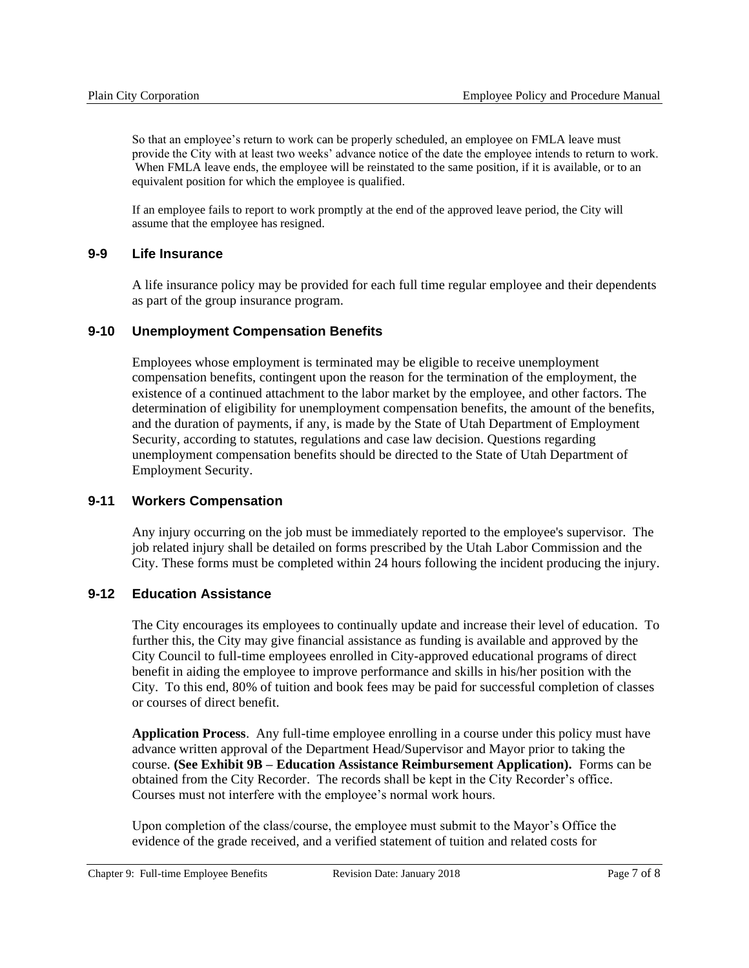So that an employee's return to work can be properly scheduled, an employee on FMLA leave must provide the City with at least two weeks' advance notice of the date the employee intends to return to work. When FMLA leave ends, the employee will be reinstated to the same position, if it is available, or to an equivalent position for which the employee is qualified.

If an employee fails to report to work promptly at the end of the approved leave period, the City will assume that the employee has resigned.

### **9-9 Life Insurance**

A life insurance policy may be provided for each full time regular employee and their dependents as part of the group insurance program.

### **9-10 Unemployment Compensation Benefits**

Employees whose employment is terminated may be eligible to receive unemployment compensation benefits, contingent upon the reason for the termination of the employment, the existence of a continued attachment to the labor market by the employee, and other factors. The determination of eligibility for unemployment compensation benefits, the amount of the benefits, and the duration of payments, if any, is made by the State of Utah Department of Employment Security, according to statutes, regulations and case law decision. Questions regarding unemployment compensation benefits should be directed to the State of Utah Department of Employment Security.

### **9-11 Workers Compensation**

Any injury occurring on the job must be immediately reported to the employee's supervisor. The job related injury shall be detailed on forms prescribed by the Utah Labor Commission and the City. These forms must be completed within 24 hours following the incident producing the injury.

# **9-12 Education Assistance**

The City encourages its employees to continually update and increase their level of education. To further this, the City may give financial assistance as funding is available and approved by the City Council to full-time employees enrolled in City-approved educational programs of direct benefit in aiding the employee to improve performance and skills in his/her position with the City. To this end, 80% of tuition and book fees may be paid for successful completion of classes or courses of direct benefit.

**Application Process**. Any full-time employee enrolling in a course under this policy must have advance written approval of the Department Head/Supervisor and Mayor prior to taking the course. **(See Exhibit 9B – Education Assistance Reimbursement Application).** Forms can be obtained from the City Recorder. The records shall be kept in the City Recorder's office. Courses must not interfere with the employee's normal work hours.

Upon completion of the class/course, the employee must submit to the Mayor's Office the evidence of the grade received, and a verified statement of tuition and related costs for